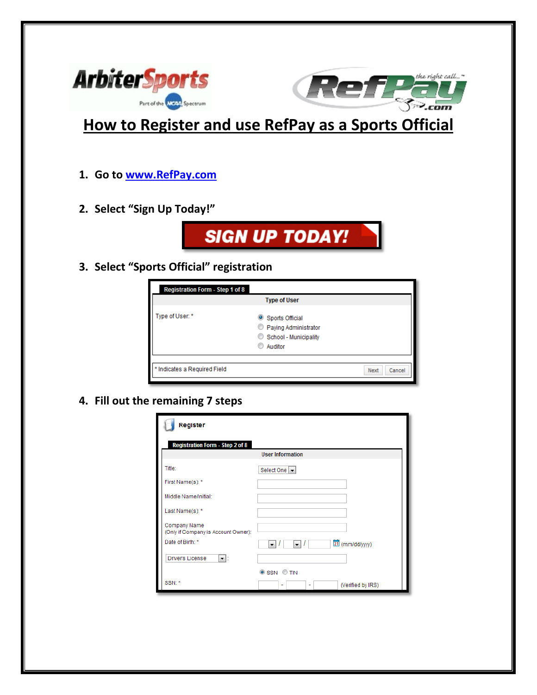

**How to Register and use RefPay as a Sports Official**

- **1. Go to [www.RefPay.com](http://www.refpay.com/)**
- **2. Select "Sign Up Today!"**



**3. Select "Sports Official" registration**

| <b>Registration Form - Step 1 of 8</b> | <b>Type of User</b>                                                         |                |
|----------------------------------------|-----------------------------------------------------------------------------|----------------|
| Type of User: *                        | Sports Official<br>Paying Administrator<br>School - Municipality<br>Auditor |                |
| * Indicates a Required Field           |                                                                             | Cancel<br>Next |

**4. Fill out the remaining 7 steps**

| Register                                            |                                                                       |  |
|-----------------------------------------------------|-----------------------------------------------------------------------|--|
| <b>Registration Form - Step 2 of 8</b>              | <b>User Information</b>                                               |  |
| Title:                                              | Select One  v                                                         |  |
| First Name(s): *                                    |                                                                       |  |
| Middle Name/Initial:                                |                                                                       |  |
| Last Name(s): *                                     |                                                                       |  |
| Company Name<br>(Only if Company is Account Owner): |                                                                       |  |
| Date of Birth: *                                    | 团(mm/dd/yyyy)<br>$\overline{\phantom{a}}$<br>$\overline{\phantom{a}}$ |  |
| Driver's License<br>-  ∶                            |                                                                       |  |
|                                                     | SSN OTIN                                                              |  |
| SSN: *                                              | (Verified by IRS)<br>٠<br>٠                                           |  |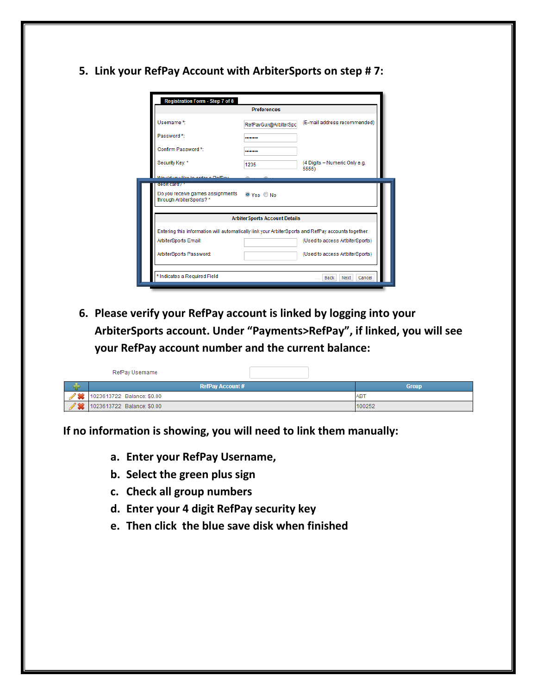**5. Link your RefPay Account with ArbiterSports on step # 7:**

| Registration Form - Step 7 of 8                                                                    |                        |                                        |
|----------------------------------------------------------------------------------------------------|------------------------|----------------------------------------|
| <b>Preferences</b>                                                                                 |                        |                                        |
| Username*                                                                                          | RefPayGuy@ArbiterSpc   | (E-mail address recommended)           |
| Password*                                                                                          |                        |                                        |
| Confirm Password*                                                                                  |                        |                                        |
| Security Key: *                                                                                    | 1235                   | (4 Digits - Numeric Only e.g.<br>5555) |
| iould vou like to order a DefDay                                                                   |                        |                                        |
| <b>OCTOR CERCOZ</b>                                                                                |                        |                                        |
| Do you receive games assignments<br>through ArbiterSports?*                                        | $\odot$ Yes $\odot$ No |                                        |
| <b>Arbiter Sports Account Details</b>                                                              |                        |                                        |
| Entering this information will automatically link your ArbiterSports and RefPay accounts together. |                        |                                        |
| ArbiterSports Email:                                                                               |                        | (Used to access ArtbiterSports)        |
|                                                                                                    |                        |                                        |
| ArbiterSports Password:                                                                            |                        | (Used to access ArtbiterSports)        |

**6. Please verify your RefPay account is linked by logging into your ArbiterSports account. Under "Payments>RefPay", if linked, you will see your RefPay account number and the current balance:**

|         | RefPay Username            |              |
|---------|----------------------------|--------------|
| υ       | <b>RefPay Account #</b>    | <b>Group</b> |
|         | 1023613722 Balance: \$0.00 | ABT          |
| $A = A$ | 1023613722 Balance: \$0.00 | 100252       |

**If no information is showing, you will need to link them manually:**

- **a. Enter your RefPay Username,**
- **b. Select the green plus sign**
- **c. Check all group numbers**
- **d. Enter your 4 digit RefPay security key**
- **e. Then click the blue save disk when finished**